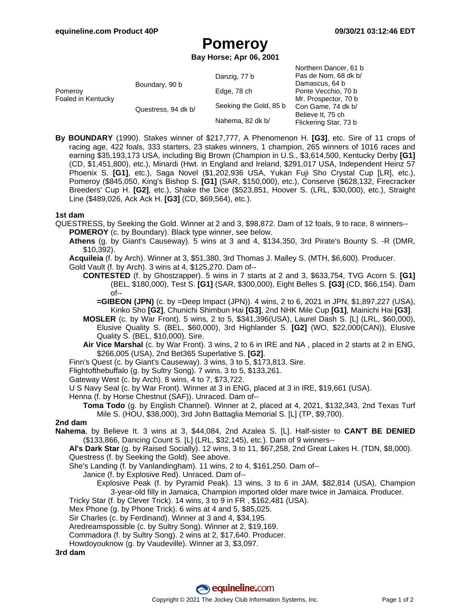# **Pomeroy**

**Bay Horse; Apr 06, 2001**

|                               |                     |                        | Northern Dancer, 61 b |
|-------------------------------|---------------------|------------------------|-----------------------|
|                               |                     | Danzig, 77 b           | Pas de Nom, 68 dk b/  |
| Pomeroy<br>Foaled in Kentucky | Boundary, 90 b      |                        | Damascus, 64 b        |
|                               |                     | Edge, 78 ch            | Ponte Vecchio, 70 b   |
|                               |                     |                        | Mr. Prospector, 70 b  |
|                               | Questress, 94 dk b/ | Seeking the Gold, 85 b | Con Game, 74 dk b/    |
|                               |                     |                        | Believe It, 75 ch     |
|                               |                     | Nahema, 82 dk b/       | Flickering Star, 73 b |

**By BOUNDARY** (1990). Stakes winner of \$217,777, A Phenomenon H. **[G3]**, etc. Sire of 11 crops of racing age, 422 foals, 333 starters, 23 stakes winners, 1 champion, 265 winners of 1016 races and earning \$35,193,173 USA, including Big Brown (Champion in U.S., \$3,614,500, Kentucky Derby **[G1]** (CD, \$1,451,800), etc.), Minardi (Hwt. in England and Ireland, \$291,017 USA, Independent Heinz 57 Phoenix S. **[G1]**, etc.), Saga Novel (\$1,202,936 USA, Yukan Fuji Sho Crystal Cup [LR], etc.), Pomeroy (\$845,050, King's Bishop S. **[G1]** (SAR, \$150,000), etc.), Conserve (\$628,132, Firecracker Breeders' Cup H. **[G2]**, etc.), Shake the Dice (\$523,851, Hoover S. (LRL, \$30,000), etc.), Straight Line (\$489,026, Ack Ack H. **[G3]** (CD, \$69,564), etc.).

### **1st dam**

- QUESTRESS, by Seeking the Gold. Winner at 2 and 3, \$98,872. Dam of 12 foals, 9 to race, 8 winners-- **POMEROY** (c. by Boundary). Black type winner, see below.
	- **Athens** (g. by Giant's Causeway). 5 wins at 3 and 4, \$134,350, 3rd Pirate's Bounty S. -R (DMR, \$10,392).
	- **Acquileia** (f. by Arch). Winner at 3, \$51,380, 3rd Thomas J. Malley S. (MTH, \$6,600). Producer.
	- Gold Vault (f. by Arch). 3 wins at 4, \$125,270. Dam of--
		- **CONTESTED** (f. by Ghostzapper). 5 wins in 7 starts at 2 and 3, \$633,754, TVG Acorn S. **[G1]** (BEL, \$180,000), Test S. **[G1]** (SAR, \$300,000), Eight Belles S. **[G3]** (CD, \$66,154). Dam of--
			- **=GIBEON (JPN)** (c. by =Deep Impact (JPN)). 4 wins, 2 to 6, 2021 in JPN, \$1,897,227 (USA), Kinko Sho **[G2]**, Chunichi Shimbun Hai **[G3]**, 2nd NHK Mile Cup **[G1]**, Mainichi Hai **[G3]**.
		- **MOSLER** (c. by War Front). 5 wins, 2 to 5, \$341,396(USA), Laurel Dash S. [L] (LRL, \$60,000), Elusive Quality S. (BEL, \$60,000), 3rd Highlander S. **[G2]** (WO, \$22,000(CAN)), Elusive Quality S. (BEL, \$10,000). Sire.
		- **Air Vice Marshal** (c. by War Front). 3 wins, 2 to 6 in IRE and NA , placed in 2 starts at 2 in ENG, \$266,005 (USA), 2nd Bet365 Superlative S. **[G2]**.
	- Finn's Quest (c. by Giant's Causeway). 3 wins, 3 to 5, \$173,813. Sire.
	- Flightofthebuffalo (g. by Sultry Song). 7 wins, 3 to 5, \$133,261.
	- Gateway West (c. by Arch). 8 wins, 4 to 7, \$73,722.
	- U S Navy Seal (c. by War Front). Winner at 3 in ENG, placed at 3 in IRE, \$19,661 (USA).
	- Henna (f. by Horse Chestnut (SAF)). Unraced. Dam of--
		- **Toma Todo** (g. by English Channel). Winner at 2, placed at 4, 2021, \$132,343, 2nd Texas Turf Mile S. (HOU, \$38,000), 3rd John Battaglia Memorial S. [L] (TP, \$9,700).

## **2nd dam**

- **Nahema**, by Believe It. 3 wins at 3, \$44,084, 2nd Azalea S. [L]. Half-sister to **CAN'T BE DENIED** (\$133,866, Dancing Count S. [L] (LRL, \$32,145), etc.). Dam of 9 winners--
	- **Al's Dark Star** (g. by Raised Socially). 12 wins, 3 to 11, \$67,258, 2nd Great Lakes H. (TDN, \$8,000). Questress (f. by Seeking the Gold). See above.
	- She's Landing (f. by Vanlandingham). 11 wins, 2 to 4, \$161,250. Dam of--
		- Janice (f. by Explosive Red). Unraced. Dam of--
			- Explosive Peak (f. by Pyramid Peak). 13 wins, 3 to 6 in JAM, \$82,814 (USA), Champion 3-year-old filly in Jamaica, Champion imported older mare twice in Jamaica. Producer.
	- Tricky Star (f. by Clever Trick). 14 wins, 3 to 9 in FR , \$162,481 (USA).
	- Mex Phone (g. by Phone Trick). 6 wins at 4 and 5, \$85,025.
	- Sir Charles (c. by Ferdinand). Winner at 3 and 4, \$34,195.
	- Aredreamspossible (c. by Sultry Song). Winner at 2, \$19,169.
	- Commadora (f. by Sultry Song). 2 wins at 2, \$17,640. Producer.
	- Howdoyouknow (g. by Vaudeville). Winner at 3, \$3,097.

**3rd dam**